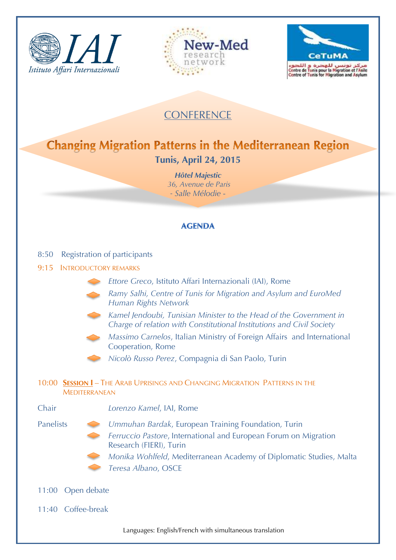





## **CONFERENCE**

## **Changing Migration Patterns in the Mediterranean Region Tunis, April 24, 2015**

*Hôtel Majestic 36, Avenue de Paris - Salle Mélodie* -

## **AGENDA**

| Registration of participants<br>8:50                                                                |                                                                                                                                             |  |
|-----------------------------------------------------------------------------------------------------|---------------------------------------------------------------------------------------------------------------------------------------------|--|
| <b>INTRODUCTORY REMARKS</b><br>9:15                                                                 |                                                                                                                                             |  |
|                                                                                                     | Ettore Greco, Istituto Affari Internazionali (IAI), Rome                                                                                    |  |
|                                                                                                     | Ramy Salhi, Centre of Tunis for Migration and Asylum and EuroMed<br>Human Rights Network                                                    |  |
|                                                                                                     | Kamel Jendoubi, Tunisian Minister to the Head of the Government in<br>Charge of relation with Constitutional Institutions and Civil Society |  |
|                                                                                                     | Massimo Carnelos, Italian Ministry of Foreign Affairs and International<br>Cooperation, Rome                                                |  |
|                                                                                                     | Nicolò Russo Perez, Compagnia di San Paolo, Turin                                                                                           |  |
| 10:00 SESSION I - THE ARAB UPRISINGS AND CHANGING MIGRATION PATTERNS IN THE<br><b>MEDITERRANEAN</b> |                                                                                                                                             |  |
| Chair                                                                                               | Lorenzo Kamel, IAI, Rome                                                                                                                    |  |
| <b>Panelists</b>                                                                                    | Ummuhan Bardak, European Training Foundation, Turin                                                                                         |  |
|                                                                                                     | Ferruccio Pastore, International and European Forum on Migration<br>Research (FIERI), Turin                                                 |  |
|                                                                                                     | Monika Wohlfeld, Mediterranean Academy of Diplomatic Studies, Malta                                                                         |  |
|                                                                                                     | Teresa Albano, OSCE                                                                                                                         |  |
| 11:00 Open debate                                                                                   |                                                                                                                                             |  |
| 11:40 Coffee-break                                                                                  |                                                                                                                                             |  |

Languages: English/French with simultaneous translation